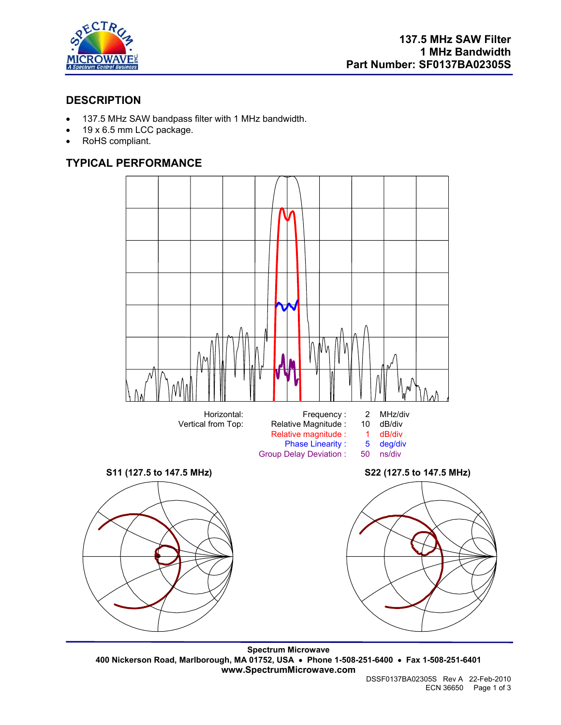

## **DESCRIPTION**

- 137.5 MHz SAW bandpass filter with 1 MHz bandwidth.
- 19 x 6.5 mm LCC package.
- RoHS compliant.

# **TYPICAL PERFORMANCE**



**Spectrum Microwave 400 Nickerson Road, Marlborough, MA 01752, USA** • **Phone 1-508-251-6400** • **Fax 1-508-251-6401 www.SpectrumMicrowave.com**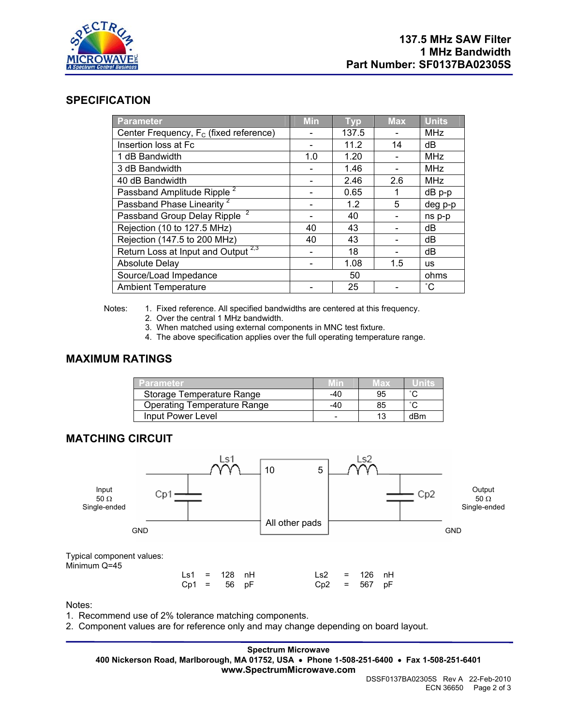

### **SPECIFICATION**

| Parameter                                          | <b>Min</b> | <b>Typ</b> | <b>Max</b> | <b>Units</b> |
|----------------------------------------------------|------------|------------|------------|--------------|
| Center Frequency, F <sub>c</sub> (fixed reference) |            | 137.5      |            | <b>MHz</b>   |
| Insertion loss at Fc                               |            | 11.2       | 14         | dB           |
| 1 dB Bandwidth                                     | 1.0        | 1.20       |            | <b>MHz</b>   |
| 3 dB Bandwidth                                     |            | 1.46       |            | <b>MHz</b>   |
| 40 dB Bandwidth                                    |            | 2.46       | 2.6        | <b>MHz</b>   |
| Passband Amplitude Ripple <sup>2</sup>             |            | 0.65       |            | $dB$ $p-p$   |
| Passband Phase Linearity <sup>2</sup>              |            | 1.2        | 5          | deg p-p      |
| Passband Group Delay Ripple <sup>2</sup>           |            | 40         |            | ns p-p       |
| Rejection (10 to 127.5 MHz)                        | 40         | 43         |            | dB           |
| Rejection (147.5 to 200 MHz)                       | 40         | 43         |            | dB           |
| Return Loss at Input and Output <sup>2,3</sup>     |            | 18         |            | dB           |
| <b>Absolute Delay</b>                              |            | 1.08       | 1.5        | <b>us</b>    |
| Source/Load Impedance                              |            | 50         |            | ohms         |
| <b>Ambient Temperature</b>                         |            | 25         |            | $^{\circ}$ C |

Notes: 1. Fixed reference. All specified bandwidths are centered at this frequency.

- 2. Over the central 1 MHz bandwidth.
- 3. When matched using external components in MNC test fixture.
- 4. The above specification applies over the full operating temperature range.

## **MAXIMUM RATINGS**

| Parameter                          | MIN   | иах |        |
|------------------------------------|-------|-----|--------|
| Storage Temperature Range          | $-40$ | 95  |        |
| <b>Operating Temperature Range</b> | -40   | 85  | $\sim$ |
| Input Power Level                  |       | 13  | dBm    |

### **MATCHING CIRCUIT**



Notes:

- 1. Recommend use of 2% tolerance matching components.
- 2. Component values are for reference only and may change depending on board layout.

#### **Spectrum Microwave 400 Nickerson Road, Marlborough, MA 01752, USA** • **Phone 1-508-251-6400** • **Fax 1-508-251-6401 www.SpectrumMicrowave.com**